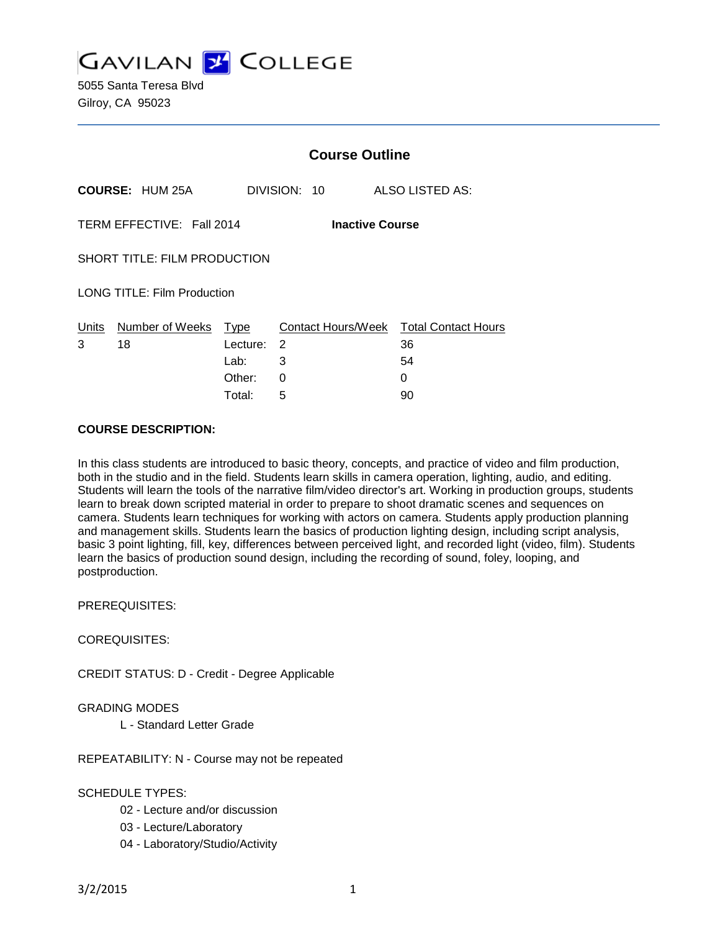**GAVILAN Y COLLEGE** 

5055 Santa Teresa Blvd Gilroy, CA 95023

|                                                     |                        | <b>Course Outline</b> |              |                                        |
|-----------------------------------------------------|------------------------|-----------------------|--------------|----------------------------------------|
|                                                     | <b>COURSE: HUM 25A</b> |                       | DIVISION: 10 | ALSO LISTED AS:                        |
| TERM EFFECTIVE: Fall 2014<br><b>Inactive Course</b> |                        |                       |              |                                        |
| SHORT TITLE: FILM PRODUCTION                        |                        |                       |              |                                        |
| <b>LONG TITLE: Film Production</b>                  |                        |                       |              |                                        |
| Units                                               | Number of Weeks        | Type                  |              | Contact Hours/Week Total Contact Hours |
| 3                                                   | 18                     | Lecture:              | 2            | 36                                     |
|                                                     |                        | Lab:                  | 3            | 54                                     |
|                                                     |                        | Other:                | 0            | 0                                      |
|                                                     |                        | Total:                | 5            | 90                                     |

#### **COURSE DESCRIPTION:**

In this class students are introduced to basic theory, concepts, and practice of video and film production, both in the studio and in the field. Students learn skills in camera operation, lighting, audio, and editing. Students will learn the tools of the narrative film/video director's art. Working in production groups, students learn to break down scripted material in order to prepare to shoot dramatic scenes and sequences on camera. Students learn techniques for working with actors on camera. Students apply production planning and management skills. Students learn the basics of production lighting design, including script analysis, basic 3 point lighting, fill, key, differences between perceived light, and recorded light (video, film). Students learn the basics of production sound design, including the recording of sound, foley, looping, and postproduction.

PREREQUISITES:

COREQUISITES:

CREDIT STATUS: D - Credit - Degree Applicable

## GRADING MODES

L - Standard Letter Grade

REPEATABILITY: N - Course may not be repeated

# SCHEDULE TYPES:

- 02 Lecture and/or discussion
- 03 Lecture/Laboratory
- 04 Laboratory/Studio/Activity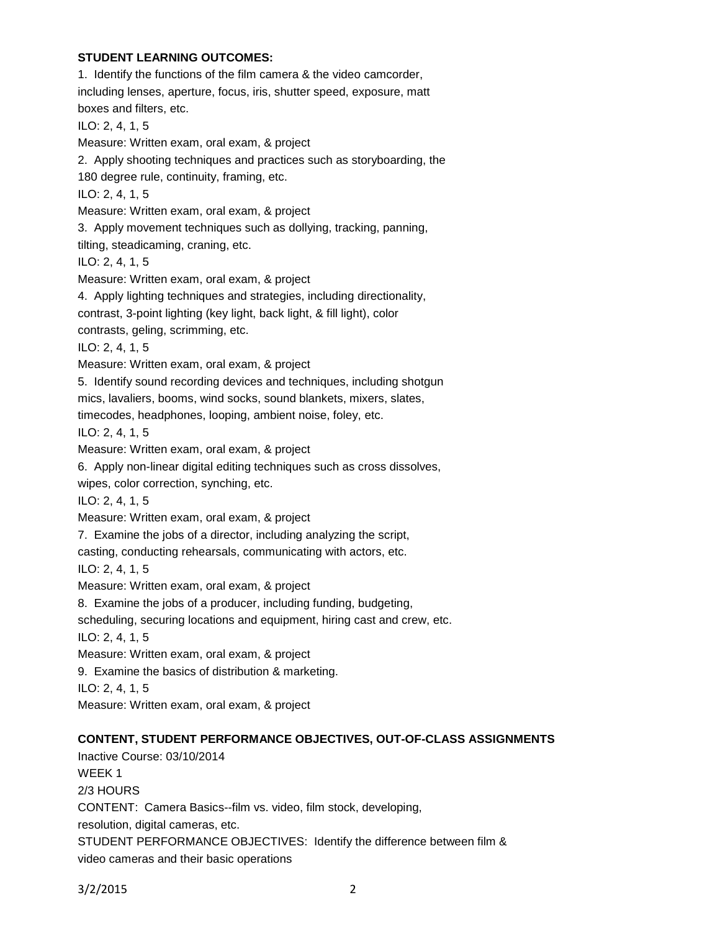## **STUDENT LEARNING OUTCOMES:**

1. Identify the functions of the film camera & the video camcorder, including lenses, aperture, focus, iris, shutter speed, exposure, matt boxes and filters, etc. ILO: 2, 4, 1, 5 Measure: Written exam, oral exam, & project 2. Apply shooting techniques and practices such as storyboarding, the 180 degree rule, continuity, framing, etc. ILO: 2, 4, 1, 5 Measure: Written exam, oral exam, & project 3. Apply movement techniques such as dollying, tracking, panning, tilting, steadicaming, craning, etc. ILO: 2, 4, 1, 5 Measure: Written exam, oral exam, & project 4. Apply lighting techniques and strategies, including directionality, contrast, 3-point lighting (key light, back light, & fill light), color contrasts, geling, scrimming, etc. ILO: 2, 4, 1, 5 Measure: Written exam, oral exam, & project 5. Identify sound recording devices and techniques, including shotgun mics, lavaliers, booms, wind socks, sound blankets, mixers, slates, timecodes, headphones, looping, ambient noise, foley, etc. ILO: 2, 4, 1, 5 Measure: Written exam, oral exam, & project 6. Apply non-linear digital editing techniques such as cross dissolves, wipes, color correction, synching, etc. ILO: 2, 4, 1, 5 Measure: Written exam, oral exam, & project 7. Examine the jobs of a director, including analyzing the script, casting, conducting rehearsals, communicating with actors, etc. ILO: 2, 4, 1, 5 Measure: Written exam, oral exam, & project 8. Examine the jobs of a producer, including funding, budgeting, scheduling, securing locations and equipment, hiring cast and crew, etc. ILO: 2, 4, 1, 5 Measure: Written exam, oral exam, & project 9. Examine the basics of distribution & marketing. ILO: 2, 4, 1, 5 Measure: Written exam, oral exam, & project **CONTENT, STUDENT PERFORMANCE OBJECTIVES, OUT-OF-CLASS ASSIGNMENTS** Inactive Course: 03/10/2014 WEEK 1 2/3 HOURS CONTENT: Camera Basics--film vs. video, film stock, developing, resolution, digital cameras, etc. STUDENT PERFORMANCE OBJECTIVES: Identify the difference between film &

```
video cameras and their basic operations
```
3/2/2015 2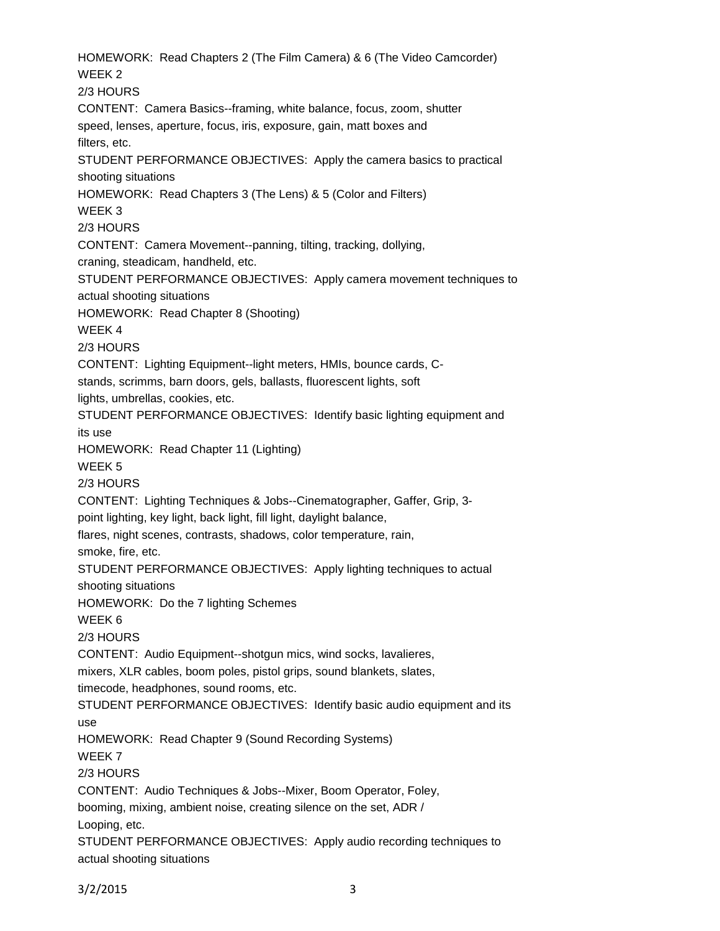HOMEWORK: Read Chapters 2 (The Film Camera) & 6 (The Video Camcorder) WFFK<sub>2</sub> 2/3 HOURS CONTENT: Camera Basics--framing, white balance, focus, zoom, shutter speed, lenses, aperture, focus, iris, exposure, gain, matt boxes and filters, etc. STUDENT PERFORMANCE OBJECTIVES: Apply the camera basics to practical shooting situations HOMEWORK: Read Chapters 3 (The Lens) & 5 (Color and Filters) WEEK 3 2/3 HOURS CONTENT: Camera Movement--panning, tilting, tracking, dollying, craning, steadicam, handheld, etc. STUDENT PERFORMANCE OBJECTIVES: Apply camera movement techniques to actual shooting situations HOMEWORK: Read Chapter 8 (Shooting) WEEK 4 2/3 HOURS CONTENT: Lighting Equipment--light meters, HMIs, bounce cards, Cstands, scrimms, barn doors, gels, ballasts, fluorescent lights, soft lights, umbrellas, cookies, etc. STUDENT PERFORMANCE OBJECTIVES: Identify basic lighting equipment and its use HOMEWORK: Read Chapter 11 (Lighting) WEEK 5 2/3 HOURS CONTENT: Lighting Techniques & Jobs--Cinematographer, Gaffer, Grip, 3 point lighting, key light, back light, fill light, daylight balance, flares, night scenes, contrasts, shadows, color temperature, rain, smoke, fire, etc. STUDENT PERFORMANCE OBJECTIVES: Apply lighting techniques to actual shooting situations HOMEWORK: Do the 7 lighting Schemes WEEK 6 2/3 HOURS CONTENT: Audio Equipment--shotgun mics, wind socks, lavalieres, mixers, XLR cables, boom poles, pistol grips, sound blankets, slates, timecode, headphones, sound rooms, etc. STUDENT PERFORMANCE OBJECTIVES: Identify basic audio equipment and its use HOMEWORK: Read Chapter 9 (Sound Recording Systems) WEEK 7 2/3 HOURS CONTENT: Audio Techniques & Jobs--Mixer, Boom Operator, Foley, booming, mixing, ambient noise, creating silence on the set, ADR / Looping, etc. STUDENT PERFORMANCE OBJECTIVES: Apply audio recording techniques to actual shooting situations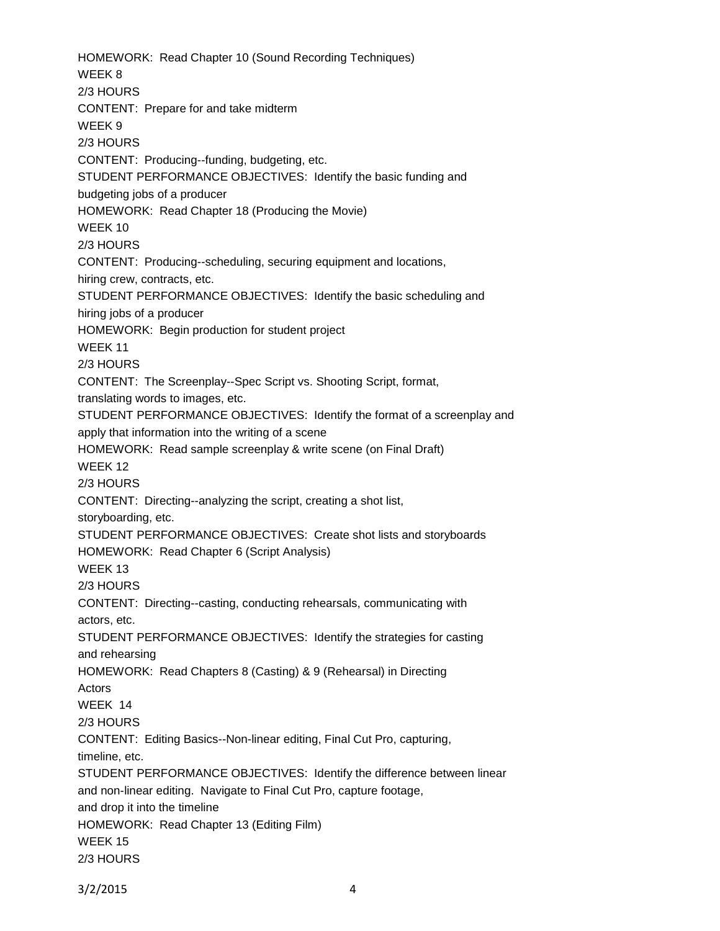HOMEWORK: Read Chapter 10 (Sound Recording Techniques) WEEK 8 2/3 HOURS CONTENT: Prepare for and take midterm WEEK 9 2/3 HOURS CONTENT: Producing--funding, budgeting, etc. STUDENT PERFORMANCE OBJECTIVES: Identify the basic funding and budgeting jobs of a producer HOMEWORK: Read Chapter 18 (Producing the Movie) WEEK 10 2/3 HOURS CONTENT: Producing--scheduling, securing equipment and locations, hiring crew, contracts, etc. STUDENT PERFORMANCE OBJECTIVES: Identify the basic scheduling and hiring jobs of a producer HOMEWORK: Begin production for student project WEEK 11 2/3 HOURS CONTENT: The Screenplay--Spec Script vs. Shooting Script, format, translating words to images, etc. STUDENT PERFORMANCE OBJECTIVES: Identify the format of a screenplay and apply that information into the writing of a scene HOMEWORK: Read sample screenplay & write scene (on Final Draft) WEEK 12 2/3 HOURS CONTENT: Directing--analyzing the script, creating a shot list, storyboarding, etc. STUDENT PERFORMANCE OBJECTIVES: Create shot lists and storyboards HOMEWORK: Read Chapter 6 (Script Analysis) WEEK 13 2/3 HOURS CONTENT: Directing--casting, conducting rehearsals, communicating with actors, etc. STUDENT PERFORMANCE OBJECTIVES: Identify the strategies for casting and rehearsing HOMEWORK: Read Chapters 8 (Casting) & 9 (Rehearsal) in Directing Actors WEEK 14 2/3 HOURS CONTENT: Editing Basics--Non-linear editing, Final Cut Pro, capturing, timeline, etc. STUDENT PERFORMANCE OBJECTIVES: Identify the difference between linear and non-linear editing. Navigate to Final Cut Pro, capture footage, and drop it into the timeline HOMEWORK: Read Chapter 13 (Editing Film) WEEK 15 2/3 HOURS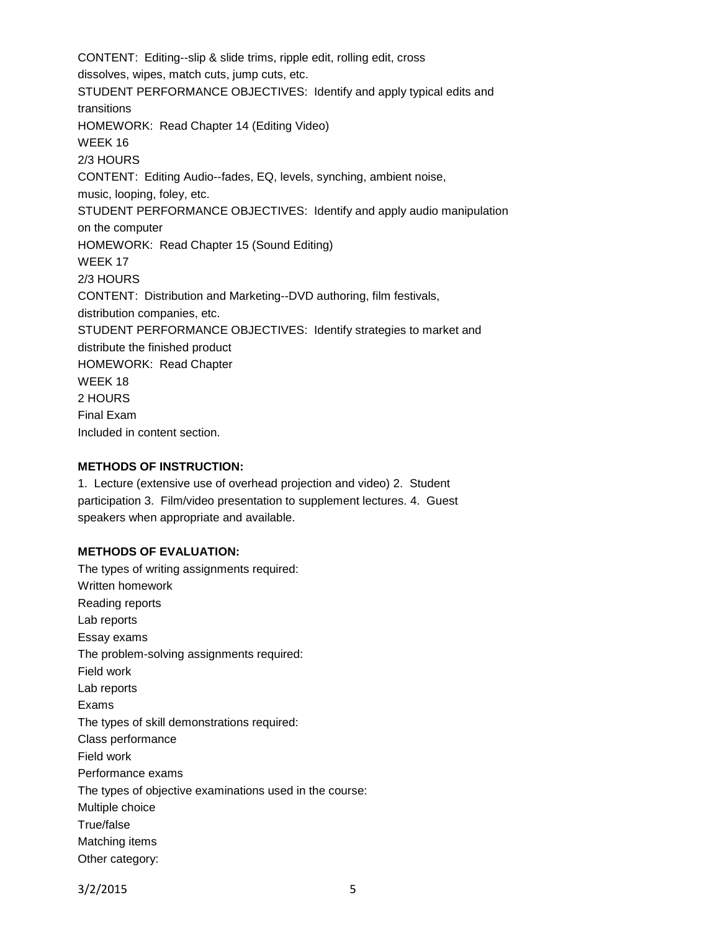CONTENT: Editing--slip & slide trims, ripple edit, rolling edit, cross dissolves, wipes, match cuts, jump cuts, etc. STUDENT PERFORMANCE OBJECTIVES: Identify and apply typical edits and transitions HOMEWORK: Read Chapter 14 (Editing Video) WEEK 16 2/3 HOURS CONTENT: Editing Audio--fades, EQ, levels, synching, ambient noise, music, looping, foley, etc. STUDENT PERFORMANCE OBJECTIVES: Identify and apply audio manipulation on the computer HOMEWORK: Read Chapter 15 (Sound Editing) WEEK 17 2/3 HOURS CONTENT: Distribution and Marketing--DVD authoring, film festivals, distribution companies, etc. STUDENT PERFORMANCE OBJECTIVES: Identify strategies to market and distribute the finished product HOMEWORK: Read Chapter WEEK 18 2 HOURS Final Exam Included in content section.

#### **METHODS OF INSTRUCTION:**

1. Lecture (extensive use of overhead projection and video) 2. Student participation 3. Film/video presentation to supplement lectures. 4. Guest speakers when appropriate and available.

#### **METHODS OF EVALUATION:**

The types of writing assignments required: Written homework Reading reports Lab reports Essay exams The problem-solving assignments required: Field work Lab reports Exams The types of skill demonstrations required: Class performance Field work Performance exams The types of objective examinations used in the course: Multiple choice True/false Matching items Other category: